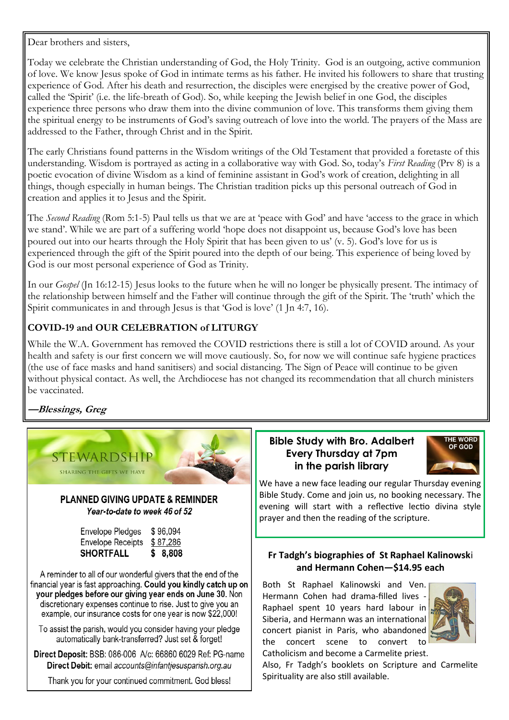Dear brothers and sisters,

Today we celebrate the Christian understanding of God, the Holy Trinity. God is an outgoing, active communion of love. We know Jesus spoke of God in intimate terms as his father. He invited his followers to share that trusting experience of God. After his death and resurrection, the disciples were energised by the creative power of God, called the 'Spirit' (i.e. the life-breath of God). So, while keeping the Jewish belief in one God, the disciples experience three persons who draw them into the divine communion of love. This transforms them giving them the spiritual energy to be instruments of God's saving outreach of love into the world. The prayers of the Mass are addressed to the Father, through Christ and in the Spirit.

The early Christians found patterns in the Wisdom writings of the Old Testament that provided a foretaste of this understanding. Wisdom is portrayed as acting in a collaborative way with God. So, today's *First Reading* (Prv 8) is a poetic evocation of divine Wisdom as a kind of feminine assistant in God's work of creation, delighting in all things, though especially in human beings. The Christian tradition picks up this personal outreach of God in creation and applies it to Jesus and the Spirit.

The *Second Reading* (Rom 5:1-5) Paul tells us that we are at 'peace with God' and have 'access to the grace in which we stand'. While we are part of a suffering world 'hope does not disappoint us, because God's love has been poured out into our hearts through the Holy Spirit that has been given to us' (v. 5). God's love for us is experienced through the gift of the Spirit poured into the depth of our being. This experience of being loved by God is our most personal experience of God as Trinity.

In our *Gospel* (Jn 16:12-15) Jesus looks to the future when he will no longer be physically present. The intimacy of the relationship between himself and the Father will continue through the gift of the Spirit. The 'truth' which the Spirit communicates in and through Jesus is that 'God is love' (1 Jn 4:7, 16).

### **COVID-19 and OUR CELEBRATION of LITURGY**

While the W.A. Government has removed the COVID restrictions there is still a lot of COVID around. As your health and safety is our first concern we will move cautiously. So, for now we will continue safe hygiene practices (the use of face masks and hand sanitisers) and social distancing. The Sign of Peace will continue to be given without physical contact. As well, the Archdiocese has not changed its recommendation that all church ministers be vaccinated.

## **—Blessings, Greg**



# **Bible Study with Bro. Adalbert Every Thursday at 7pm in the parish library**



We have a new face leading our regular Thursday evening Bible Study. Come and join us, no booking necessary. The evening will start with a reflective lectio divina style prayer and then the reading of the scripture.

### **Fr Tadgh's biographies of St Raphael Kalinowsk**i **and Hermann Cohen—\$14.95 each**

Both St Raphael Kalinowski and Ven. Hermann Cohen had drama-filled lives - Raphael spent 10 years hard labour in Siberia, and Hermann was an international concert pianist in Paris, who abandoned the concert scene to convert to Catholicism and become a Carmelite priest.



Also, Fr Tadgh's booklets on Scripture and Carmelite Spirituality are also still available.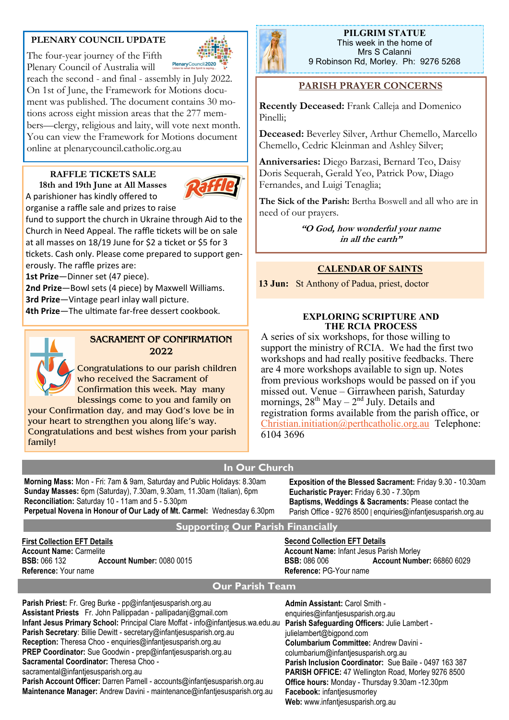### **PLENARY COUNCIL UPDATE**

The four-year journey of the Fifth Plenary Council of Australia will

PlenaryCouncil 2020 reach the second - and final - assembly in July 2022. On 1st of June, the Framework for Motions document was published. The document contains 30 motions across eight mission areas that the 277 members—clergy, religious and laity, will vote next month. You can view the Framework for Motions document online at plenarycouncil.catholic.org.au

# **RAFFLE TICKETS SALE**

**18th and 19th June at All Masses** A parishioner has kindly offered to



tickets. Cash only. Please come prepared to support generously. The raffle prizes are:

**1st Prize**—Dinner set (47 piece).

**2nd Prize**—Bowl sets (4 piece) by Maxwell Williams. **3rd Prize**—Vintage pearl inlay wall picture.

**4th Prize**—The ultimate far-free dessert cookbook.



#### **SACRAMENT OF CONFIRMATION 2022**

Congratulations to our parish children who received the Sacrament of Confirmation this week. May many blessings come to you and family on your Confirmation day, and may God's love be in

your heart to strengthen you along life's way. Congratulations and best wishes from your parish family!



**PILGRIM STATUE**  This week in the home of Mrs S Calanni 9 Robinson Rd, Morley. Ph: 9276 5268

### **PARISH PRAYER CONCERNS**

**Recently Deceased:** Frank Calleja and Domenico Pinelli;

**Deceased:** Beverley Silver, Arthur Chemello, Marcello Chemello, Cedric Kleinman and Ashley Silver;

**Anniversaries:** Diego Barzasi, Bernard Teo, Daisy Doris Sequerah, Gerald Yeo, Patrick Pow, Diago Fernandes, and Luigi Tenaglia;

**The Sick of the Parish:** Bertha Boswell and all who are in need of our prayers.

> **"O God, how wonderful your name in all the earth"**

### **CALENDAR OF SAINTS**

**13 Jun:** St Anthony of Padua, priest, doctor

#### **EXPLORING SCRIPTURE AND THE RCIA PROCESS**

A series of six workshops, for those willing to support the ministry of RCIA. We had the first two workshops and had really positive feedbacks. There are 4 more workshops available to sign up. Notes from previous workshops would be passed on if you missed out. Venue – Girrawheen parish, Saturday mornings,  $28^{th}$  May  $-2^{nd}$  July. Details and registration forms available from the parish office, or [Christian.initiation@perthcatholic.org.au](mailto:Christian.initiation@perthcatholic.org.au) Telephone: 6104 3696

### **In Our Church**

**Morning Mass:** Mon - Fri: 7am & 9am, Saturday and Public Holidays: 8.30am **Sunday Masses:** 6pm (Saturday), 7.30am, 9.30am, 11.30am (Italian), 6pm **Reconciliation:** Saturday 10 - 11am and 5 - 5.30pm **Perpetual Novena in Honour of Our Lady of Mt. Carmel:** Wednesday 6.30pm **Exposition of the Blessed Sacrament:** Friday 9.30 - 10.30am **Eucharistic Prayer:** Friday 6.30 - 7.30pm **Baptisms, Weddings & Sacraments:** Please contact the Parish Office - 9276 8500 | enquiries@infantjesusparish.org.au

#### **Supporting Our Parish Financially**

**First Collection EFT Details Account Name:** Carmelite **BSB:** 066 132 **Account Number:** 0080 0015 **Reference:** Your name

**Second Collection EFT Details Account Name:** Infant Jesus Parish Morley **BSB:** 086 006 **Account Number:** 66860 6029 **Reference:** PG-Your name

### **Our Parish Team**

**Parish Priest:** Fr. Greg Burke - pp@infantjesusparish.org.au **Assistant Priests** Fr. John Pallippadan - pallipadanj@gmail.com **Infant Jesus Primary School:** Principal Clare Moffat - info@infantjesus.wa.edu.au **Parish Safeguarding Officers:** Julie Lambert - **Parish Secretary**: Billie Dewitt - secretary@infantjesusparish.org.au **Reception:** Theresa Choo - enquiries@infantjesusparish.org.au **PREP Coordinator:** Sue Goodwin - prep@infantjesusparish.org.au **Sacramental Coordinator:** Theresa Choo sacramental@infantjesusparish.org.au **Parish Account Officer:** Darren Parnell - accounts@infantjesusparish.org.au **Maintenance Manager:** Andrew Davini - maintenance@infantjesusparish.org.au

**Admin Assistant:** Carol Smith enquiries@infantiesusparish.org.au julielambert@bigpond.com **Columbarium Committee:** Andrew Davini columbarium@infantjesusparish.org.au **Parish Inclusion Coordinator:** Sue Baile - 0497 163 387 **PARISH OFFICE:** 47 Wellington Road, Morley 9276 8500 **Office hours:** Monday - Thursday 9.30am -12.30pm **Facebook:** infantjesusmorley **Web:** www.infantjesusparish.org.au